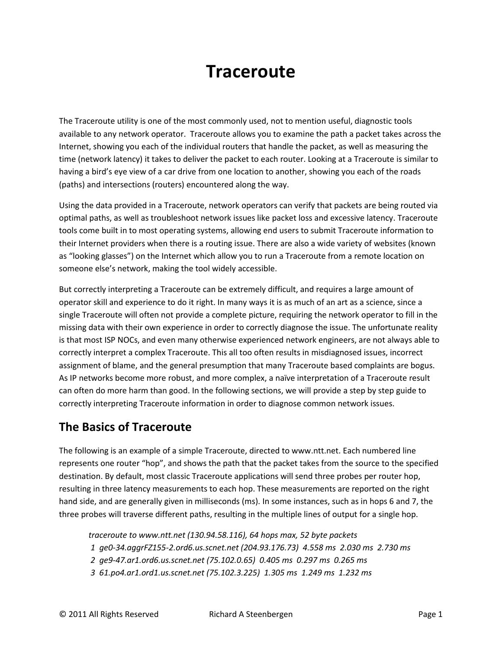# **Traceroute**

The Traceroute utility is one of the most commonly used, not to mention useful, diagnostic tools available to any network operator. Traceroute allows you to examine the path a packet takes across the Internet, showing you each of the individual routers that handle the packet, as well as measuring the time (network latency) it takes to deliver the packet to each router. Looking at a Traceroute is similar to having a bird's eye view of a car drive from one location to another, showing you each of the roads (paths) and intersections (routers) encountered along the way.

Using the data provided in a Traceroute, network operators can verify that packets are being routed via optimal paths, as well as troubleshoot network issues like packet loss and excessive latency. Traceroute tools come built in to most operating systems, allowing end users to submit Traceroute information to their Internet providers when there is a routing issue. There are also a wide variety of websites (known as "looking glasses") on the Internet which allow you to run a Traceroute from a remote location on someone else's network, making the tool widely accessible.

But correctly interpreting a Traceroute can be extremely difficult, and requires a large amount of operator skill and experience to do it right. In many ways it is as much of an art as a science, since a single Traceroute will often not provide a complete picture, requiring the network operator to fill in the missing data with their own experience in order to correctly diagnose the issue. The unfortunate reality is that most ISP NOCs, and even many otherwise experienced network engineers, are not always able to correctly interpret a complex Traceroute. This all too often results in misdiagnosed issues, incorrect assignment of blame, and the general presumption that many Traceroute based complaints are bogus. As IP networks become more robust, and more complex, a naïve interpretation of a Traceroute result can often do more harm than good. In the following sections, we will provide a step by step guide to correctly interpreting Traceroute information in order to diagnose common network issues.

### **The Basics of Traceroute**

The following is an example of a simple Traceroute, directed to www.ntt.net. Each numbered line represents one router "hop", and shows the path that the packet takes from the source to the specified destination. By default, most classic Traceroute applications will send three probes per router hop, resulting in three latency measurements to each hop. These measurements are reported on the right hand side, and are generally given in milliseconds (ms). In some instances, such as in hops 6 and 7, the three probes will traverse different paths, resulting in the multiple lines of output for a single hop.

*traceroute to www.ntt.net (130.94.58.116), 64 hops max, 52 byte packets*

- *1 ge0-34.aggrFZ155-2.ord6.us.scnet.net (204.93.176.73) 4.558 ms 2.030 ms 2.730 ms*
- *2 ge9-47.ar1.ord6.us.scnet.net (75.102.0.65) 0.405 ms 0.297 ms 0.265 ms*
- *3 61.po4.ar1.ord1.us.scnet.net (75.102.3.225) 1.305 ms 1.249 ms 1.232 ms*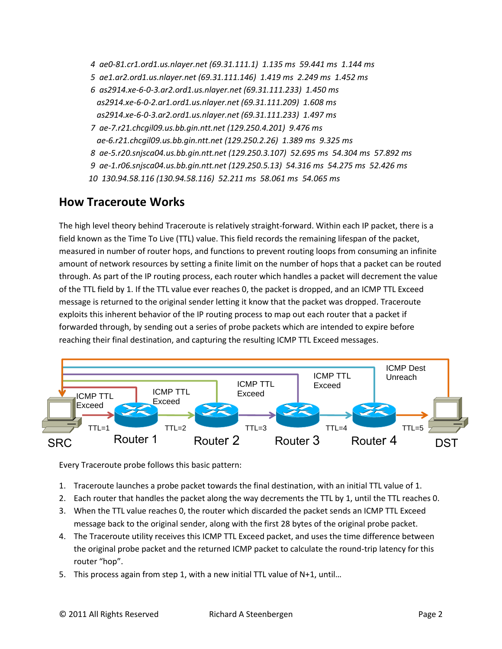- *4 ae0-81.cr1.ord1.us.nlayer.net (69.31.111.1) 1.135 ms 59.441 ms 1.144 ms*
- *5 ae1.ar2.ord1.us.nlayer.net (69.31.111.146) 1.419 ms 2.249 ms 1.452 ms*
- *6 as2914.xe-6-0-3.ar2.ord1.us.nlayer.net (69.31.111.233) 1.450 ms as2914.xe-6-0-2.ar1.ord1.us.nlayer.net (69.31.111.209) 1.608 ms as2914.xe-6-0-3.ar2.ord1.us.nlayer.net (69.31.111.233) 1.497 ms*
- *7 ae-7.r21.chcgil09.us.bb.gin.ntt.net (129.250.4.201) 9.476 ms ae-6.r21.chcgil09.us.bb.gin.ntt.net (129.250.2.26) 1.389 ms 9.325 ms*
- *8 ae-5.r20.snjsca04.us.bb.gin.ntt.net (129.250.3.107) 52.695 ms 54.304 ms 57.892 ms*
- *9 ae-1.r06.snjsca04.us.bb.gin.ntt.net (129.250.5.13) 54.316 ms 54.275 ms 52.426 ms*
- *10 130.94.58.116 (130.94.58.116) 52.211 ms 58.061 ms 54.065 ms*

### **How Traceroute Works**

The high level theory behind Traceroute is relatively straight-forward. Within each IP packet, there is a field known as the Time To Live (TTL) value. This field records the remaining lifespan of the packet, measured in number of router hops, and functions to prevent routing loops from consuming an infinite amount of network resources by setting a finite limit on the number of hops that a packet can be routed through. As part of the IP routing process, each router which handles a packet will decrement the value of the TTL field by 1. If the TTL value ever reaches 0, the packet is dropped, and an ICMP TTL Exceed message is returned to the original sender letting it know that the packet was dropped. Traceroute exploits this inherent behavior of the IP routing process to map out each router that a packet if forwarded through, by sending out a series of probe packets which are intended to expire before reaching their final destination, and capturing the resulting ICMP TTL Exceed messages.



Every Traceroute probe follows this basic pattern:

- 1. Traceroute launches a probe packet towards the final destination, with an initial TTL value of 1.
- 2. Each router that handles the packet along the way decrements the TTL by 1, until the TTL reaches 0.
- 3. When the TTL value reaches 0, the router which discarded the packet sends an ICMP TTL Exceed message back to the original sender, along with the first 28 bytes of the original probe packet.
- 4. The Traceroute utility receives this ICMP TTL Exceed packet, and uses the time difference between the original probe packet and the returned ICMP packet to calculate the round-trip latency for this router "hop".
- 5. This process again from step 1, with a new initial TTL value of N+1, until...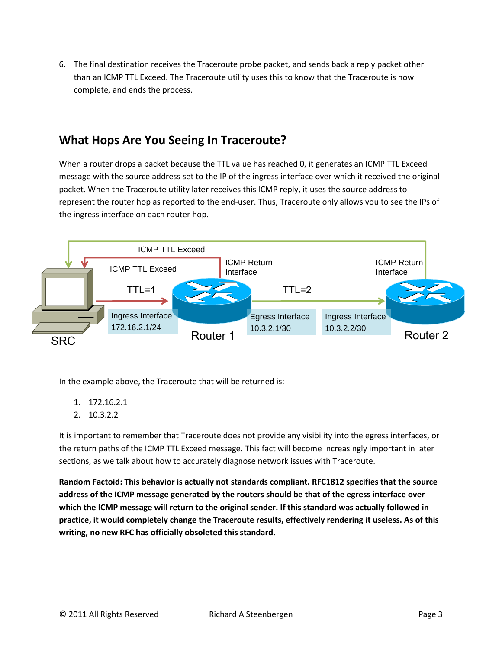6. The final destination receives the Traceroute probe packet, and sends back a reply packet other than an ICMP TTL Exceed. The Traceroute utility uses this to know that the Traceroute is now complete, and ends the process.

### **What Hops Are You Seeing In Traceroute?**

When a router drops a packet because the TTL value has reached 0, it generates an ICMP TTL Exceed message with the source address set to the IP of the ingress interface over which it received the original packet. When the Traceroute utility later receives this ICMP reply, it uses the source address to represent the router hop as reported to the end-user. Thus, Traceroute only allows you to see the IPs of the ingress interface on each router hop.



In the example above, the Traceroute that will be returned is:

- 1. 172.16.2.1
- 2. 10.3.2.2

It is important to remember that Traceroute does not provide any visibility into the egress interfaces, or the return paths of the ICMP TTL Exceed message. This fact will become increasingly important in later sections, as we talk about how to accurately diagnose network issues with Traceroute.

**Random Factoid: This behavior is actually not standards compliant. RFC1812 specifies that the source address of the ICMP message generated by the routers should be that of the egress interface over which the ICMP message will return to the original sender. If this standard was actually followed in practice, it would completely change the Traceroute results, effectively rendering it useless. As of this writing, no new RFC has officially obsoleted this standard.**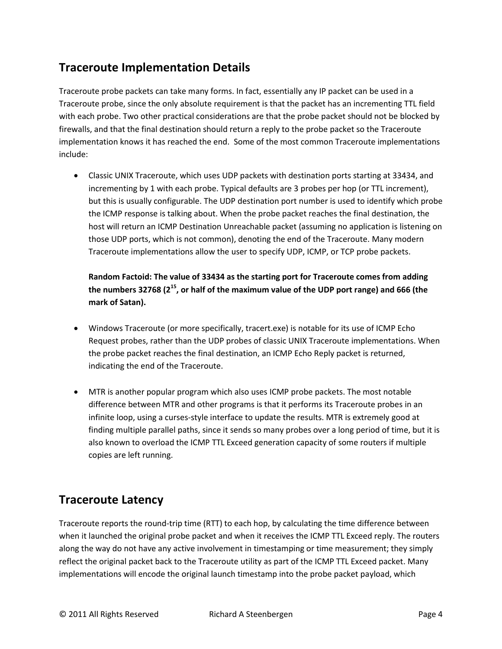# **Traceroute Implementation Details**

Traceroute probe packets can take many forms. In fact, essentially any IP packet can be used in a Traceroute probe, since the only absolute requirement is that the packet has an incrementing TTL field with each probe. Two other practical considerations are that the probe packet should not be blocked by firewalls, and that the final destination should return a reply to the probe packet so the Traceroute implementation knows it has reached the end. Some of the most common Traceroute implementations include:

 Classic UNIX Traceroute, which uses UDP packets with destination ports starting at 33434, and incrementing by 1 with each probe. Typical defaults are 3 probes per hop (or TTL increment), but this is usually configurable. The UDP destination port number is used to identify which probe the ICMP response is talking about. When the probe packet reaches the final destination, the host will return an ICMP Destination Unreachable packet (assuming no application is listening on those UDP ports, which is not common), denoting the end of the Traceroute. Many modern Traceroute implementations allow the user to specify UDP, ICMP, or TCP probe packets.

**Random Factoid: The value of 33434 as the starting port for Traceroute comes from adding the numbers 32768 (2<sup>15</sup>, or half of the maximum value of the UDP port range) and 666 (the mark of Satan).**

- Windows Traceroute (or more specifically, tracert.exe) is notable for its use of ICMP Echo Request probes, rather than the UDP probes of classic UNIX Traceroute implementations. When the probe packet reaches the final destination, an ICMP Echo Reply packet is returned, indicating the end of the Traceroute.
- MTR is another popular program which also uses ICMP probe packets. The most notable difference between MTR and other programs is that it performs its Traceroute probes in an infinite loop, using a curses-style interface to update the results. MTR is extremely good at finding multiple parallel paths, since it sends so many probes over a long period of time, but it is also known to overload the ICMP TTL Exceed generation capacity of some routers if multiple copies are left running.

# **Traceroute Latency**

Traceroute reports the round-trip time (RTT) to each hop, by calculating the time difference between when it launched the original probe packet and when it receives the ICMP TTL Exceed reply. The routers along the way do not have any active involvement in timestamping or time measurement; they simply reflect the original packet back to the Traceroute utility as part of the ICMP TTL Exceed packet. Many implementations will encode the original launch timestamp into the probe packet payload, which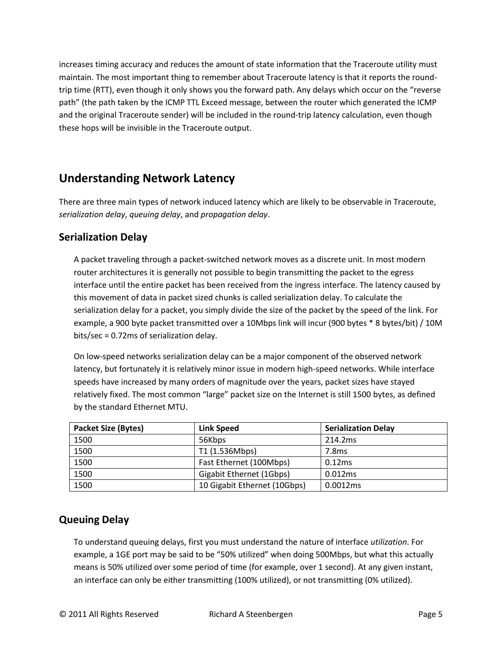increases timing accuracy and reduces the amount of state information that the Traceroute utility must maintain. The most important thing to remember about Traceroute latency is that it reports the roundtrip time (RTT), even though it only shows you the forward path. Any delays which occur on the "reverse path" (the path taken by the ICMP TTL Exceed message, between the router which generated the ICMP and the original Traceroute sender) will be included in the round-trip latency calculation, even though these hops will be invisible in the Traceroute output.

# **Understanding Network Latency**

There are three main types of network induced latency which are likely to be observable in Traceroute, *serialization delay*, *queuing delay*, and *propagation delay*.

#### **Serialization Delay**

A packet traveling through a packet-switched network moves as a discrete unit. In most modern router architectures it is generally not possible to begin transmitting the packet to the egress interface until the entire packet has been received from the ingress interface. The latency caused by this movement of data in packet sized chunks is called serialization delay. To calculate the serialization delay for a packet, you simply divide the size of the packet by the speed of the link. For example, a 900 byte packet transmitted over a 10Mbps link will incur (900 bytes \* 8 bytes/bit) / 10M bits/sec = 0.72ms of serialization delay.

On low-speed networks serialization delay can be a major component of the observed network latency, but fortunately it is relatively minor issue in modern high-speed networks. While interface speeds have increased by many orders of magnitude over the years, packet sizes have stayed relatively fixed. The most common "large" packet size on the Internet is still 1500 bytes, as defined by the standard Ethernet MTU.

| <b>Packet Size (Bytes)</b> | Link Speed                   | <b>Serialization Delay</b> |
|----------------------------|------------------------------|----------------------------|
| 1500                       | 56Kbps                       | 214.2ms                    |
| 1500                       | T1 (1.536Mbps)               | 7.8 <sub>ms</sub>          |
| 1500                       | Fast Ethernet (100Mbps)      | 0.12ms                     |
| 1500                       | Gigabit Ethernet (1Gbps)     | 0.012ms                    |
| 1500                       | 10 Gigabit Ethernet (10Gbps) | 0.0012ms                   |

### **Queuing Delay**

To understand queuing delays, first you must understand the nature of interface *utilization*. For example, a 1GE port may be said to be "50% utilized" when doing 500Mbps, but what this actually means is 50% utilized over some period of time (for example, over 1 second). At any given instant, an interface can only be either transmitting (100% utilized), or not transmitting (0% utilized).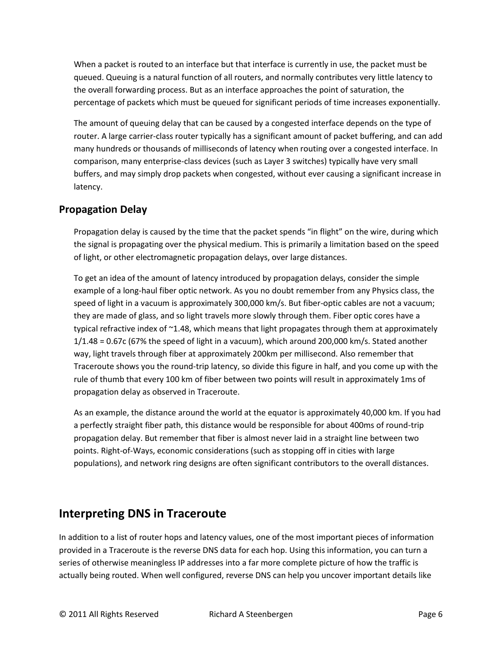When a packet is routed to an interface but that interface is currently in use, the packet must be queued. Queuing is a natural function of all routers, and normally contributes very little latency to the overall forwarding process. But as an interface approaches the point of saturation, the percentage of packets which must be queued for significant periods of time increases exponentially.

The amount of queuing delay that can be caused by a congested interface depends on the type of router. A large carrier-class router typically has a significant amount of packet buffering, and can add many hundreds or thousands of milliseconds of latency when routing over a congested interface. In comparison, many enterprise-class devices (such as Layer 3 switches) typically have very small buffers, and may simply drop packets when congested, without ever causing a significant increase in latency.

### **Propagation Delay**

Propagation delay is caused by the time that the packet spends "in flight" on the wire, during which the signal is propagating over the physical medium. This is primarily a limitation based on the speed of light, or other electromagnetic propagation delays, over large distances.

To get an idea of the amount of latency introduced by propagation delays, consider the simple example of a long-haul fiber optic network. As you no doubt remember from any Physics class, the speed of light in a vacuum is approximately 300,000 km/s. But fiber-optic cables are not a vacuum; they are made of glass, and so light travels more slowly through them. Fiber optic cores have a typical refractive index of ~1.48, which means that light propagates through them at approximately 1/1.48 = 0.67c (67% the speed of light in a vacuum), which around 200,000 km/s. Stated another way, light travels through fiber at approximately 200km per millisecond. Also remember that Traceroute shows you the round-trip latency, so divide this figure in half, and you come up with the rule of thumb that every 100 km of fiber between two points will result in approximately 1ms of propagation delay as observed in Traceroute.

As an example, the distance around the world at the equator is approximately 40,000 km. If you had a perfectly straight fiber path, this distance would be responsible for about 400ms of round-trip propagation delay. But remember that fiber is almost never laid in a straight line between two points. Right-of-Ways, economic considerations (such as stopping off in cities with large populations), and network ring designs are often significant contributors to the overall distances.

### **Interpreting DNS in Traceroute**

In addition to a list of router hops and latency values, one of the most important pieces of information provided in a Traceroute is the reverse DNS data for each hop. Using this information, you can turn a series of otherwise meaningless IP addresses into a far more complete picture of how the traffic is actually being routed. When well configured, reverse DNS can help you uncover important details like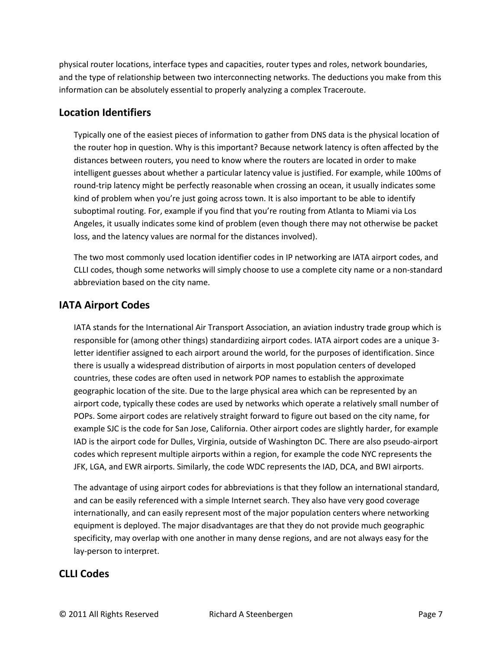physical router locations, interface types and capacities, router types and roles, network boundaries, and the type of relationship between two interconnecting networks. The deductions you make from this information can be absolutely essential to properly analyzing a complex Traceroute.

#### **Location Identifiers**

Typically one of the easiest pieces of information to gather from DNS data is the physical location of the router hop in question. Why is this important? Because network latency is often affected by the distances between routers, you need to know where the routers are located in order to make intelligent guesses about whether a particular latency value is justified. For example, while 100ms of round-trip latency might be perfectly reasonable when crossing an ocean, it usually indicates some kind of problem when you're just going across town. It is also important to be able to identify suboptimal routing. For, example if you find that you're routing from Atlanta to Miami via Los Angeles, it usually indicates some kind of problem (even though there may not otherwise be packet loss, and the latency values are normal for the distances involved).

The two most commonly used location identifier codes in IP networking are IATA airport codes, and CLLI codes, though some networks will simply choose to use a complete city name or a non-standard abbreviation based on the city name.

#### **IATA Airport Codes**

IATA stands for the International Air Transport Association, an aviation industry trade group which is responsible for (among other things) standardizing airport codes. IATA airport codes are a unique 3 letter identifier assigned to each airport around the world, for the purposes of identification. Since there is usually a widespread distribution of airports in most population centers of developed countries, these codes are often used in network POP names to establish the approximate geographic location of the site. Due to the large physical area which can be represented by an airport code, typically these codes are used by networks which operate a relatively small number of POPs. Some airport codes are relatively straight forward to figure out based on the city name, for example SJC is the code for San Jose, California. Other airport codes are slightly harder, for example IAD is the airport code for Dulles, Virginia, outside of Washington DC. There are also pseudo-airport codes which represent multiple airports within a region, for example the code NYC represents the JFK, LGA, and EWR airports. Similarly, the code WDC represents the IAD, DCA, and BWI airports.

The advantage of using airport codes for abbreviations is that they follow an international standard, and can be easily referenced with a simple Internet search. They also have very good coverage internationally, and can easily represent most of the major population centers where networking equipment is deployed. The major disadvantages are that they do not provide much geographic specificity, may overlap with one another in many dense regions, and are not always easy for the lay-person to interpret.

#### **CLLI Codes**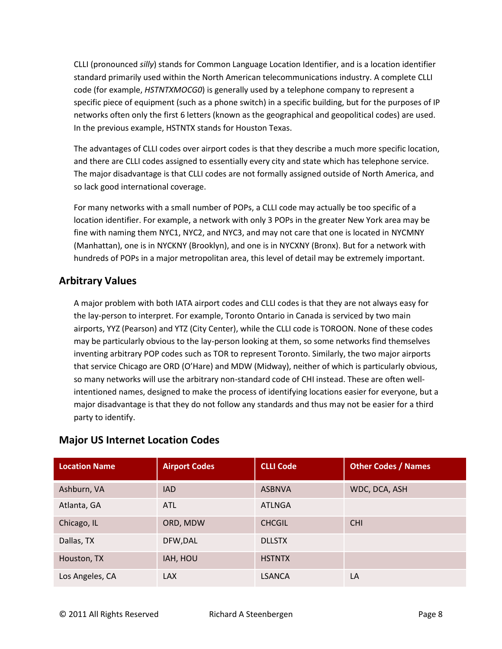CLLI (pronounced *silly*) stands for Common Language Location Identifier, and is a location identifier standard primarily used within the North American telecommunications industry. A complete CLLI code (for example, *HSTNTXMOCG0*) is generally used by a telephone company to represent a specific piece of equipment (such as a phone switch) in a specific building, but for the purposes of IP networks often only the first 6 letters (known as the geographical and geopolitical codes) are used. In the previous example, HSTNTX stands for Houston Texas.

The advantages of CLLI codes over airport codes is that they describe a much more specific location, and there are CLLI codes assigned to essentially every city and state which has telephone service. The major disadvantage is that CLLI codes are not formally assigned outside of North America, and so lack good international coverage.

For many networks with a small number of POPs, a CLLI code may actually be too specific of a location identifier. For example, a network with only 3 POPs in the greater New York area may be fine with naming them NYC1, NYC2, and NYC3, and may not care that one is located in NYCMNY (Manhattan), one is in NYCKNY (Brooklyn), and one is in NYCXNY (Bronx). But for a network with hundreds of POPs in a major metropolitan area, this level of detail may be extremely important.

### **Arbitrary Values**

A major problem with both IATA airport codes and CLLI codes is that they are not always easy for the lay-person to interpret. For example, Toronto Ontario in Canada is serviced by two main airports, YYZ (Pearson) and YTZ (City Center), while the CLLI code is TOROON. None of these codes may be particularly obvious to the lay-person looking at them, so some networks find themselves inventing arbitrary POP codes such as TOR to represent Toronto. Similarly, the two major airports that service Chicago are ORD (O'Hare) and MDW (Midway), neither of which is particularly obvious, so many networks will use the arbitrary non-standard code of CHI instead. These are often wellintentioned names, designed to make the process of identifying locations easier for everyone, but a major disadvantage is that they do not follow any standards and thus may not be easier for a third party to identify.

| <b>Location Name</b> | <b>Airport Codes</b> | <b>CLLI Code</b> | <b>Other Codes / Names</b> |
|----------------------|----------------------|------------------|----------------------------|
| Ashburn, VA          | <b>IAD</b>           | <b>ASBNVA</b>    | WDC, DCA, ASH              |
| Atlanta, GA          | ATL                  | <b>ATLNGA</b>    |                            |
| Chicago, IL          | ORD, MDW             | <b>CHCGIL</b>    | <b>CHI</b>                 |
| Dallas, TX           | DFW, DAL             | <b>DLLSTX</b>    |                            |
| Houston, TX          | IAH, HOU             | <b>HSTNTX</b>    |                            |
| Los Angeles, CA      | <b>LAX</b>           | <b>LSANCA</b>    | LA                         |

#### **Major US Internet Location Codes**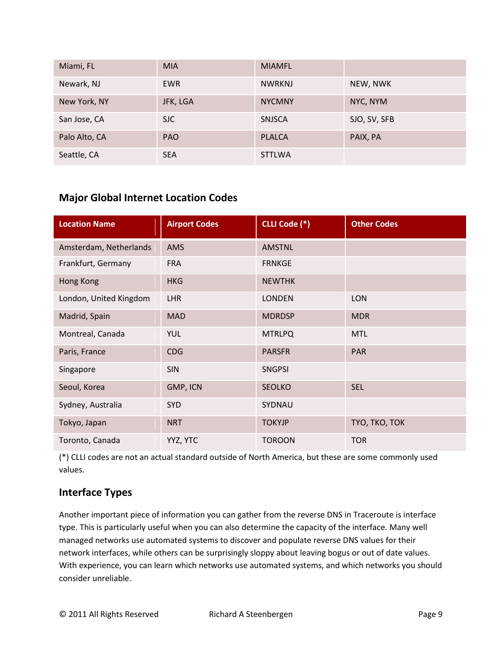| Miami, FL     | <b>MIA</b> | <b>MIAMFL</b> |              |
|---------------|------------|---------------|--------------|
| Newark, NJ    | <b>EWR</b> | <b>NWRKNJ</b> | NEW, NWK     |
| New York, NY  | JFK, LGA   | <b>NYCMNY</b> | NYC, NYM     |
| San Jose, CA  | <b>SJC</b> | <b>SNJSCA</b> | SJO, SV, SFB |
| Palo Alto, CA | <b>PAO</b> | <b>PLALCA</b> | PAIX, PA     |
| Seattle, CA   | <b>SEA</b> | <b>STTLWA</b> |              |

### **Major Global Internet Location Codes**

| <b>Location Name</b>   | <b>Airport Codes</b> | CLLI Code (*) | <b>Other Codes</b> |
|------------------------|----------------------|---------------|--------------------|
| Amsterdam, Netherlands | AMS                  | <b>AMSTNL</b> |                    |
| Frankfurt, Germany     | <b>FRA</b>           | <b>FRNKGE</b> |                    |
| Hong Kong              | <b>HKG</b>           | <b>NEWTHK</b> |                    |
| London, United Kingdom | LHR                  | <b>LONDEN</b> | <b>LON</b>         |
| Madrid, Spain          | <b>MAD</b>           | <b>MDRDSP</b> | <b>MDR</b>         |
| Montreal, Canada       | <b>YUL</b>           | <b>MTRLPQ</b> | <b>MTL</b>         |
| Paris, France          | <b>CDG</b>           | <b>PARSFR</b> | <b>PAR</b>         |
| Singapore              | <b>SIN</b>           | <b>SNGPSI</b> |                    |
| Seoul, Korea           | GMP, ICN             | <b>SEOLKO</b> | <b>SEL</b>         |
| Sydney, Australia      | <b>SYD</b>           | SYDNAU        |                    |
| Tokyo, Japan           | <b>NRT</b>           | <b>TOKYJP</b> | TYO, TKO, TOK      |
| Toronto, Canada        | YYZ, YTC             | <b>TOROON</b> | <b>TOR</b>         |

(\*) CLLI codes are not an actual standard outside of North America, but these are some commonly used values.

#### **Interface Types**

Another important piece of information you can gather from the reverse DNS in Traceroute is interface type. This is particularly useful when you can also determine the capacity of the interface. Many well managed networks use automated systems to discover and populate reverse DNS values for their network interfaces, while others can be surprisingly sloppy about leaving bogus or out of date values. With experience, you can learn which networks use automated systems, and which networks you should consider unreliable.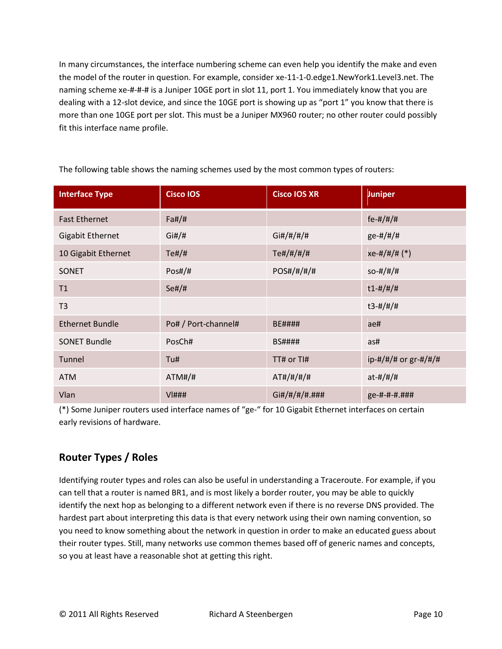In many circumstances, the interface numbering scheme can even help you identify the make and even the model of the router in question. For example, consider xe-11-1-0.edge1.NewYork1.Level3.net. The naming scheme xe-#-#-# is a Juniper 10GE port in slot 11, port 1. You immediately know that you are dealing with a 12-slot device, and since the 10GE port is showing up as "port 1" you know that there is more than one 10GE port per slot. This must be a Juniper MX960 router; no other router could possibly fit this interface name profile.

| <b>Interface Type</b>   | <b>Cisco IOS</b>    | <b>Cisco IOS XR</b> | <b>Juniper</b>          |
|-------------------------|---------------------|---------------------|-------------------------|
| <b>Fast Ethernet</b>    | Fa#/#               |                     | $fe - #/#/#$            |
| <b>Gigabit Ethernet</b> | Gi#/#               | Gi#/#/#/#           | $ge-#/#/#$              |
| 10 Gigabit Ethernet     | $Te\#/\#$           | Te#/#/#/#           | $xe$ -#/#/# (*)         |
| <b>SONET</b>            | Pos#/#              | POS#/#/#/#          | $SO-#/#/#$              |
| T1                      | Se#/#               |                     | $t1 - #/#/#$            |
| T <sub>3</sub>          |                     |                     | $t3 - #/#/#$            |
| <b>Ethernet Bundle</b>  | Po# / Port-channel# | <b>BE####</b>       | ae#                     |
| <b>SONET Bundle</b>     | PosCh#              | <b>BS####</b>       | as#                     |
| Tunnel                  | Tu#                 | TT# or TI#          | $ip$ -#/#/# or gr-#/#/# |
| <b>ATM</b>              | ATM#/#              | AT#/#/#/#           | $at + 4/# / #$          |
| Vlan                    | $V$  ###            | Gi#/#/#/#.###       | ge-#-#-#.###            |

The following table shows the naming schemes used by the most common types of routers:

(\*) Some Juniper routers used interface names of "ge-" for 10 Gigabit Ethernet interfaces on certain early revisions of hardware.

#### **Router Types / Roles**

Identifying router types and roles can also be useful in understanding a Traceroute. For example, if you can tell that a router is named BR1, and is most likely a border router, you may be able to quickly identify the next hop as belonging to a different network even if there is no reverse DNS provided. The hardest part about interpreting this data is that every network using their own naming convention, so you need to know something about the network in question in order to make an educated guess about their router types. Still, many networks use common themes based off of generic names and concepts, so you at least have a reasonable shot at getting this right.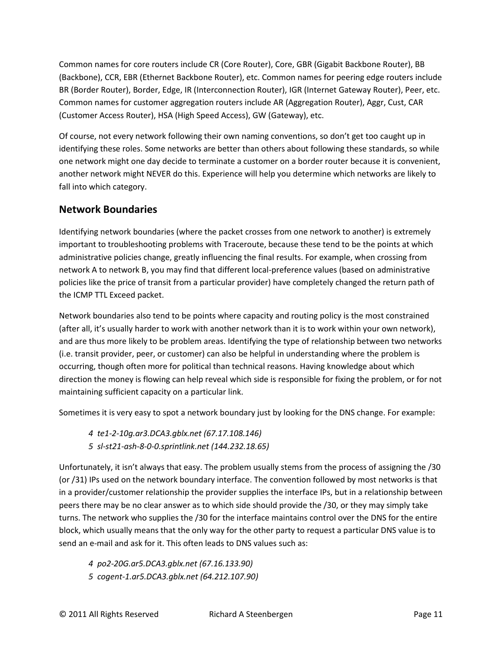Common names for core routers include CR (Core Router), Core, GBR (Gigabit Backbone Router), BB (Backbone), CCR, EBR (Ethernet Backbone Router), etc. Common names for peering edge routers include BR (Border Router), Border, Edge, IR (Interconnection Router), IGR (Internet Gateway Router), Peer, etc. Common names for customer aggregation routers include AR (Aggregation Router), Aggr, Cust, CAR (Customer Access Router), HSA (High Speed Access), GW (Gateway), etc.

Of course, not every network following their own naming conventions, so don't get too caught up in identifying these roles. Some networks are better than others about following these standards, so while one network might one day decide to terminate a customer on a border router because it is convenient, another network might NEVER do this. Experience will help you determine which networks are likely to fall into which category.

### **Network Boundaries**

Identifying network boundaries (where the packet crosses from one network to another) is extremely important to troubleshooting problems with Traceroute, because these tend to be the points at which administrative policies change, greatly influencing the final results. For example, when crossing from network A to network B, you may find that different local-preference values (based on administrative policies like the price of transit from a particular provider) have completely changed the return path of the ICMP TTL Exceed packet.

Network boundaries also tend to be points where capacity and routing policy is the most constrained (after all, it's usually harder to work with another network than it is to work within your own network), and are thus more likely to be problem areas. Identifying the type of relationship between two networks (i.e. transit provider, peer, or customer) can also be helpful in understanding where the problem is occurring, though often more for political than technical reasons. Having knowledge about which direction the money is flowing can help reveal which side is responsible for fixing the problem, or for not maintaining sufficient capacity on a particular link.

Sometimes it is very easy to spot a network boundary just by looking for the DNS change. For example:

*4 te1-2-10g.ar3.DCA3.gblx.net (67.17.108.146)*

*5 sl-st21-ash-8-0-0.sprintlink.net (144.232.18.65)*

Unfortunately, it isn't always that easy. The problem usually stems from the process of assigning the /30 (or /31) IPs used on the network boundary interface. The convention followed by most networks is that in a provider/customer relationship the provider supplies the interface IPs, but in a relationship between peers there may be no clear answer as to which side should provide the /30, or they may simply take turns. The network who supplies the /30 for the interface maintains control over the DNS for the entire block, which usually means that the only way for the other party to request a particular DNS value is to send an e-mail and ask for it. This often leads to DNS values such as:

- *4 po2-20G.ar5.DCA3.gblx.net (67.16.133.90)*
- *5 cogent-1.ar5.DCA3.gblx.net (64.212.107.90)*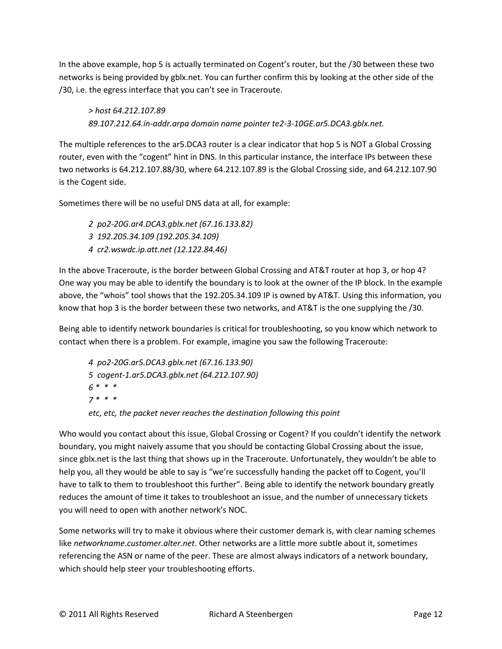In the above example, hop 5 is actually terminated on Cogent's router, but the /30 between these two networks is being provided by gblx.net. You can further confirm this by looking at the other side of the /30, i.e. the egress interface that you can't see in Traceroute.

*> host 64.212.107.89 89.107.212.64.in-addr.arpa domain name pointer te2-3-10GE.ar5.DCA3.gblx.net.*

The multiple references to the ar5.DCA3 router is a clear indicator that hop 5 is NOT a Global Crossing router, even with the "cogent" hint in DNS. In this particular instance, the interface IPs between these two networks is 64.212.107.88/30, where 64.212.107.89 is the Global Crossing side, and 64.212.107.90 is the Cogent side.

Sometimes there will be no useful DNS data at all, for example:

*2 po2-20G.ar4.DCA3.gblx.net (67.16.133.82)*

- *3 192.205.34.109 (192.205.34.109)*
- *4 cr2.wswdc.ip.att.net (12.122.84.46)*

In the above Traceroute, is the border between Global Crossing and AT&T router at hop 3, or hop 4? One way you may be able to identify the boundary is to look at the owner of the IP block. In the example above, the "whois" tool shows that the 192.205.34.109 IP is owned by AT&T. Using this information, you know that hop 3 is the border between these two networks, and AT&T is the one supplying the /30.

Being able to identify network boundaries is critical for troubleshooting, so you know which network to contact when there is a problem. For example, imagine you saw the following Traceroute:

*4 po2-20G.ar5.DCA3.gblx.net (67.16.133.90) 5 cogent-1.ar5.DCA3.gblx.net (64.212.107.90) 6 \* \* \* 7 \* \* \* etc, etc, the packet never reaches the destination following this point*

Who would you contact about this issue, Global Crossing or Cogent? If you couldn't identify the network boundary, you might naively assume that you should be contacting Global Crossing about the issue, since gblx.net is the last thing that shows up in the Traceroute. Unfortunately, they wouldn't be able to help you, all they would be able to say is "we're successfully handing the packet off to Cogent, you'll have to talk to them to troubleshoot this further". Being able to identify the network boundary greatly reduces the amount of time it takes to troubleshoot an issue, and the number of unnecessary tickets you will need to open with another network's NOC.

Some networks will try to make it obvious where their customer demark is, with clear naming schemes like *networkname.customer.alter.net*. Other networks are a little more subtle about it, sometimes referencing the ASN or name of the peer. These are almost always indicators of a network boundary, which should help steer your troubleshooting efforts.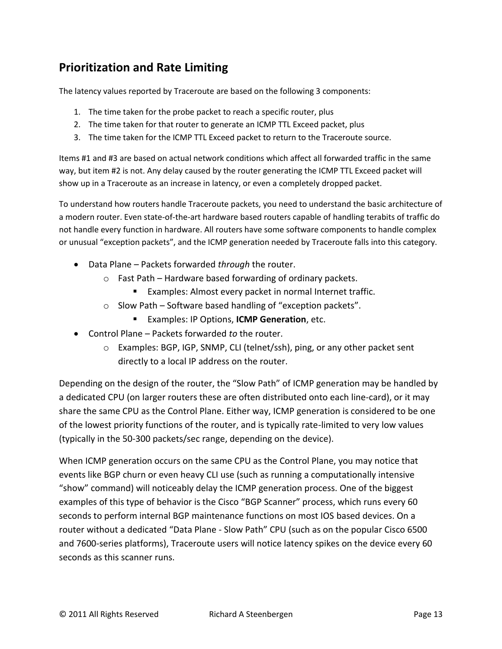# **Prioritization and Rate Limiting**

The latency values reported by Traceroute are based on the following 3 components:

- 1. The time taken for the probe packet to reach a specific router, plus
- 2. The time taken for that router to generate an ICMP TTL Exceed packet, plus
- 3. The time taken for the ICMP TTL Exceed packet to return to the Traceroute source.

Items #1 and #3 are based on actual network conditions which affect all forwarded traffic in the same way, but item #2 is not. Any delay caused by the router generating the ICMP TTL Exceed packet will show up in a Traceroute as an increase in latency, or even a completely dropped packet.

To understand how routers handle Traceroute packets, you need to understand the basic architecture of a modern router. Even state-of-the-art hardware based routers capable of handling terabits of traffic do not handle every function in hardware. All routers have some software components to handle complex or unusual "exception packets", and the ICMP generation needed by Traceroute falls into this category.

- Data Plane Packets forwarded *through* the router.
	- o Fast Path Hardware based forwarding of ordinary packets.
		- **Examples: Almost every packet in normal Internet traffic.**
	- o Slow Path Software based handling of "exception packets".
		- Examples: IP Options, **ICMP Generation**, etc.
- Control Plane Packets forwarded *to* the router.
	- o Examples: BGP, IGP, SNMP, CLI (telnet/ssh), ping, or any other packet sent directly to a local IP address on the router.

Depending on the design of the router, the "Slow Path" of ICMP generation may be handled by a dedicated CPU (on larger routers these are often distributed onto each line-card), or it may share the same CPU as the Control Plane. Either way, ICMP generation is considered to be one of the lowest priority functions of the router, and is typically rate-limited to very low values (typically in the 50-300 packets/sec range, depending on the device).

When ICMP generation occurs on the same CPU as the Control Plane, you may notice that events like BGP churn or even heavy CLI use (such as running a computationally intensive "show" command) will noticeably delay the ICMP generation process. One of the biggest examples of this type of behavior is the Cisco "BGP Scanner" process, which runs every 60 seconds to perform internal BGP maintenance functions on most IOS based devices. On a router without a dedicated "Data Plane - Slow Path" CPU (such as on the popular Cisco 6500 and 7600-series platforms), Traceroute users will notice latency spikes on the device every 60 seconds as this scanner runs.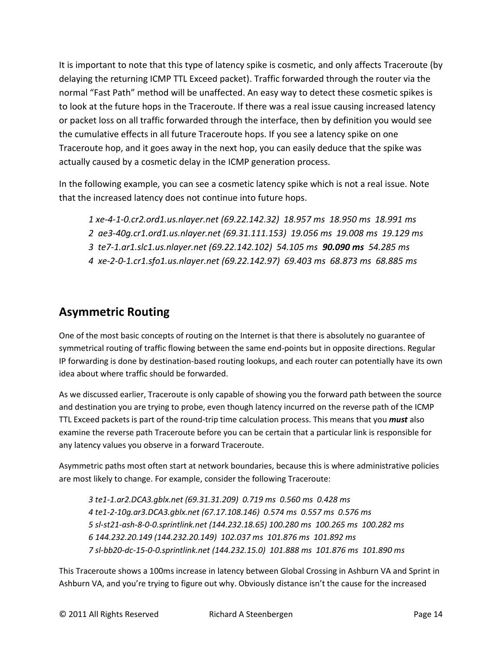It is important to note that this type of latency spike is cosmetic, and only affects Traceroute (by delaying the returning ICMP TTL Exceed packet). Traffic forwarded through the router via the normal "Fast Path" method will be unaffected. An easy way to detect these cosmetic spikes is to look at the future hops in the Traceroute. If there was a real issue causing increased latency or packet loss on all traffic forwarded through the interface, then by definition you would see the cumulative effects in all future Traceroute hops. If you see a latency spike on one Traceroute hop, and it goes away in the next hop, you can easily deduce that the spike was actually caused by a cosmetic delay in the ICMP generation process.

In the following example, you can see a cosmetic latency spike which is not a real issue. Note that the increased latency does not continue into future hops.

- *1 xe-4-1-0.cr2.ord1.us.nlayer.net (69.22.142.32) 18.957 ms 18.950 ms 18.991 ms*
- *2 ae3-40g.cr1.ord1.us.nlayer.net (69.31.111.153) 19.056 ms 19.008 ms 19.129 ms*
- *3 te7-1.ar1.slc1.us.nlayer.net (69.22.142.102) 54.105 ms 90.090 ms 54.285 ms*
- *4 xe-2-0-1.cr1.sfo1.us.nlayer.net (69.22.142.97) 69.403 ms 68.873 ms 68.885 ms*

# **Asymmetric Routing**

One of the most basic concepts of routing on the Internet is that there is absolutely no guarantee of symmetrical routing of traffic flowing between the same end-points but in opposite directions. Regular IP forwarding is done by destination-based routing lookups, and each router can potentially have its own idea about where traffic should be forwarded.

As we discussed earlier, Traceroute is only capable of showing you the forward path between the source and destination you are trying to probe, even though latency incurred on the reverse path of the ICMP TTL Exceed packets is part of the round-trip time calculation process. This means that you *must* also examine the reverse path Traceroute before you can be certain that a particular link is responsible for any latency values you observe in a forward Traceroute.

Asymmetric paths most often start at network boundaries, because this is where administrative policies are most likely to change. For example, consider the following Traceroute:

*3 te1-1.ar2.DCA3.gblx.net (69.31.31.209) 0.719 ms 0.560 ms 0.428 ms 4 te1-2-10g.ar3.DCA3.gblx.net (67.17.108.146) 0.574 ms 0.557 ms 0.576 ms 5 sl-st21-ash-8-0-0.sprintlink.net (144.232.18.65) 100.280 ms 100.265 ms 100.282 ms 6 144.232.20.149 (144.232.20.149) 102.037 ms 101.876 ms 101.892 ms 7 sl-bb20-dc-15-0-0.sprintlink.net (144.232.15.0) 101.888 ms 101.876 ms 101.890 ms*

This Traceroute shows a 100ms increase in latency between Global Crossing in Ashburn VA and Sprint in Ashburn VA, and you're trying to figure out why. Obviously distance isn't the cause for the increased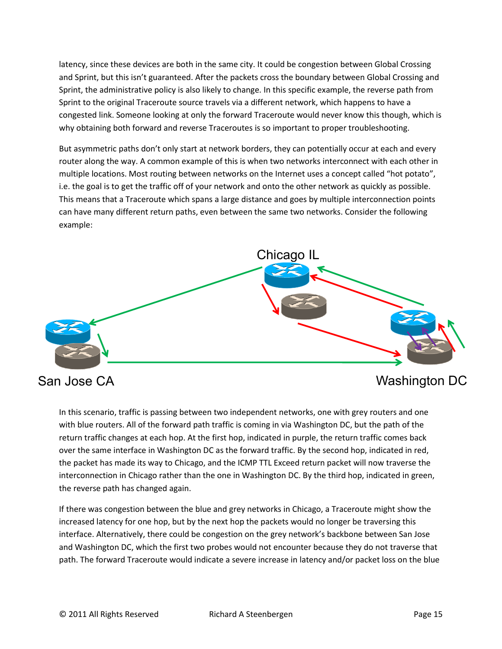latency, since these devices are both in the same city. It could be congestion between Global Crossing and Sprint, but this isn't guaranteed. After the packets cross the boundary between Global Crossing and Sprint, the administrative policy is also likely to change. In this specific example, the reverse path from Sprint to the original Traceroute source travels via a different network, which happens to have a congested link. Someone looking at only the forward Traceroute would never know this though, which is why obtaining both forward and reverse Traceroutes is so important to proper troubleshooting.

But asymmetric paths don't only start at network borders, they can potentially occur at each and every router along the way. A common example of this is when two networks interconnect with each other in multiple locations. Most routing between networks on the Internet uses a concept called "hot potato", i.e. the goal is to get the traffic off of your network and onto the other network as quickly as possible. This means that a Traceroute which spans a large distance and goes by multiple interconnection points can have many different return paths, even between the same two networks. Consider the following example:



# San Jose CA

# Washington DC

In this scenario, traffic is passing between two independent networks, one with grey routers and one with blue routers. All of the forward path traffic is coming in via Washington DC, but the path of the return traffic changes at each hop. At the first hop, indicated in purple, the return traffic comes back over the same interface in Washington DC as the forward traffic. By the second hop, indicated in red, the packet has made its way to Chicago, and the ICMP TTL Exceed return packet will now traverse the interconnection in Chicago rather than the one in Washington DC. By the third hop, indicated in green, the reverse path has changed again.

If there was congestion between the blue and grey networks in Chicago, a Traceroute might show the increased latency for one hop, but by the next hop the packets would no longer be traversing this interface. Alternatively, there could be congestion on the grey network's backbone between San Jose and Washington DC, which the first two probes would not encounter because they do not traverse that path. The forward Traceroute would indicate a severe increase in latency and/or packet loss on the blue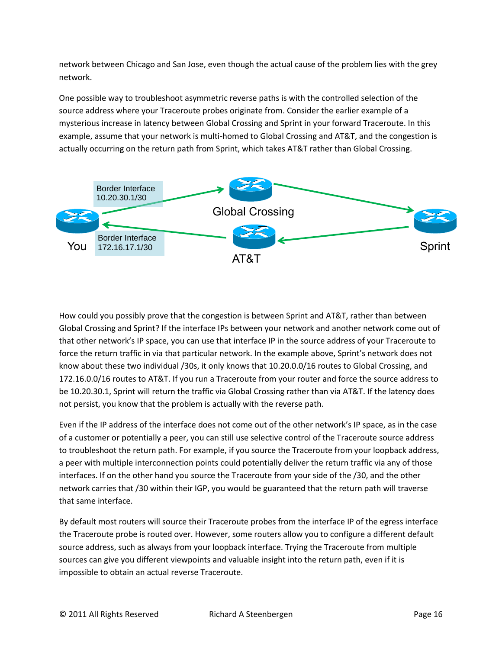network between Chicago and San Jose, even though the actual cause of the problem lies with the grey network.

One possible way to troubleshoot asymmetric reverse paths is with the controlled selection of the source address where your Traceroute probes originate from. Consider the earlier example of a mysterious increase in latency between Global Crossing and Sprint in your forward Traceroute. In this example, assume that your network is multi-homed to Global Crossing and AT&T, and the congestion is actually occurring on the return path from Sprint, which takes AT&T rather than Global Crossing.



How could you possibly prove that the congestion is between Sprint and AT&T, rather than between Global Crossing and Sprint? If the interface IPs between your network and another network come out of that other network's IP space, you can use that interface IP in the source address of your Traceroute to force the return traffic in via that particular network. In the example above, Sprint's network does not know about these two individual /30s, it only knows that 10.20.0.0/16 routes to Global Crossing, and 172.16.0.0/16 routes to AT&T. If you run a Traceroute from your router and force the source address to be 10.20.30.1, Sprint will return the traffic via Global Crossing rather than via AT&T. If the latency does not persist, you know that the problem is actually with the reverse path.

Even if the IP address of the interface does not come out of the other network's IP space, as in the case of a customer or potentially a peer, you can still use selective control of the Traceroute source address to troubleshoot the return path. For example, if you source the Traceroute from your loopback address, a peer with multiple interconnection points could potentially deliver the return traffic via any of those interfaces. If on the other hand you source the Traceroute from your side of the /30, and the other network carries that /30 within their IGP, you would be guaranteed that the return path will traverse that same interface.

By default most routers will source their Traceroute probes from the interface IP of the egress interface the Traceroute probe is routed over. However, some routers allow you to configure a different default source address, such as always from your loopback interface. Trying the Traceroute from multiple sources can give you different viewpoints and valuable insight into the return path, even if it is impossible to obtain an actual reverse Traceroute.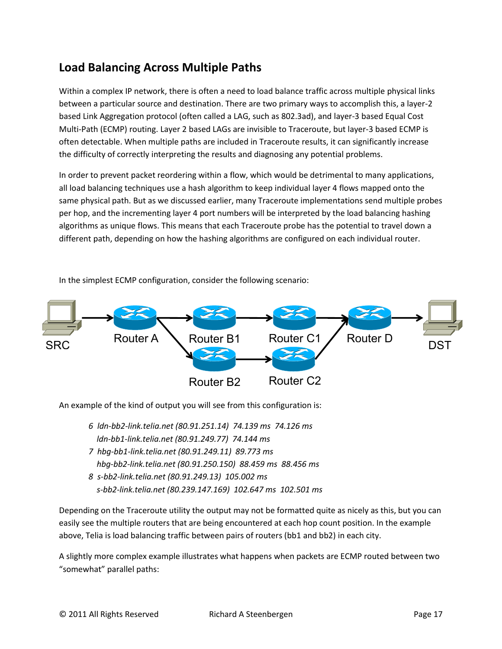# **Load Balancing Across Multiple Paths**

Within a complex IP network, there is often a need to load balance traffic across multiple physical links between a particular source and destination. There are two primary ways to accomplish this, a layer-2 based Link Aggregation protocol (often called a LAG, such as 802.3ad), and layer-3 based Equal Cost Multi-Path (ECMP) routing. Layer 2 based LAGs are invisible to Traceroute, but layer-3 based ECMP is often detectable. When multiple paths are included in Traceroute results, it can significantly increase the difficulty of correctly interpreting the results and diagnosing any potential problems.

In order to prevent packet reordering within a flow, which would be detrimental to many applications, all load balancing techniques use a hash algorithm to keep individual layer 4 flows mapped onto the same physical path. But as we discussed earlier, many Traceroute implementations send multiple probes per hop, and the incrementing layer 4 port numbers will be interpreted by the load balancing hashing algorithms as unique flows. This means that each Traceroute probe has the potential to travel down a different path, depending on how the hashing algorithms are configured on each individual router.



In the simplest ECMP configuration, consider the following scenario:

An example of the kind of output you will see from this configuration is:

- *6 ldn-bb2-link.telia.net (80.91.251.14) 74.139 ms 74.126 ms ldn-bb1-link.telia.net (80.91.249.77) 74.144 ms*
- *7 hbg-bb1-link.telia.net (80.91.249.11) 89.773 ms hbg-bb2-link.telia.net (80.91.250.150) 88.459 ms 88.456 ms*
- *8 s-bb2-link.telia.net (80.91.249.13) 105.002 ms s-bb2-link.telia.net (80.239.147.169) 102.647 ms 102.501 ms*

Depending on the Traceroute utility the output may not be formatted quite as nicely as this, but you can easily see the multiple routers that are being encountered at each hop count position. In the example above, Telia is load balancing traffic between pairs of routers (bb1 and bb2) in each city.

A slightly more complex example illustrates what happens when packets are ECMP routed between two "somewhat" parallel paths: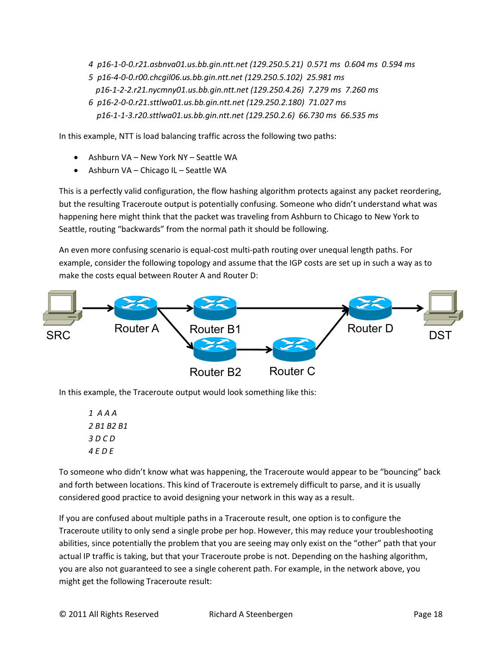*4 p16-1-0-0.r21.asbnva01.us.bb.gin.ntt.net (129.250.5.21) 0.571 ms 0.604 ms 0.594 ms 5 p16-4-0-0.r00.chcgil06.us.bb.gin.ntt.net (129.250.5.102) 25.981 ms p16-1-2-2.r21.nycmny01.us.bb.gin.ntt.net (129.250.4.26) 7.279 ms 7.260 ms 6 p16-2-0-0.r21.sttlwa01.us.bb.gin.ntt.net (129.250.2.180) 71.027 ms p16-1-1-3.r20.sttlwa01.us.bb.gin.ntt.net (129.250.2.6) 66.730 ms 66.535 ms*

In this example, NTT is load balancing traffic across the following two paths:

- Ashburn VA New York NY Seattle WA
- Ashburn VA Chicago IL Seattle WA

This is a perfectly valid configuration, the flow hashing algorithm protects against any packet reordering, but the resulting Traceroute output is potentially confusing. Someone who didn't understand what was happening here might think that the packet was traveling from Ashburn to Chicago to New York to Seattle, routing "backwards" from the normal path it should be following.

An even more confusing scenario is equal-cost multi-path routing over unequal length paths. For example, consider the following topology and assume that the IGP costs are set up in such a way as to make the costs equal between Router A and Router D:



In this example, the Traceroute output would look something like this:

*1 A A A 2 B1 B2 B1 3 D C D 4 E D E*

To someone who didn't know what was happening, the Traceroute would appear to be "bouncing" back and forth between locations. This kind of Traceroute is extremely difficult to parse, and it is usually considered good practice to avoid designing your network in this way as a result.

If you are confused about multiple paths in a Traceroute result, one option is to configure the Traceroute utility to only send a single probe per hop. However, this may reduce your troubleshooting abilities, since potentially the problem that you are seeing may only exist on the "other" path that your actual IP traffic is taking, but that your Traceroute probe is not. Depending on the hashing algorithm, you are also not guaranteed to see a single coherent path. For example, in the network above, you might get the following Traceroute result: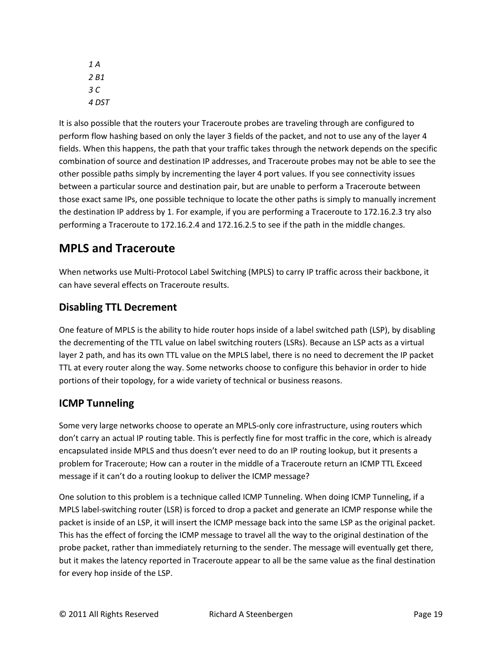*1 A 2 B1 3 C 4 DST*

It is also possible that the routers your Traceroute probes are traveling through are configured to perform flow hashing based on only the layer 3 fields of the packet, and not to use any of the layer 4 fields. When this happens, the path that your traffic takes through the network depends on the specific combination of source and destination IP addresses, and Traceroute probes may not be able to see the other possible paths simply by incrementing the layer 4 port values. If you see connectivity issues between a particular source and destination pair, but are unable to perform a Traceroute between those exact same IPs, one possible technique to locate the other paths is simply to manually increment the destination IP address by 1. For example, if you are performing a Traceroute to 172.16.2.3 try also performing a Traceroute to 172.16.2.4 and 172.16.2.5 to see if the path in the middle changes.

# **MPLS and Traceroute**

When networks use Multi-Protocol Label Switching (MPLS) to carry IP traffic across their backbone, it can have several effects on Traceroute results.

### **Disabling TTL Decrement**

One feature of MPLS is the ability to hide router hops inside of a label switched path (LSP), by disabling the decrementing of the TTL value on label switching routers (LSRs). Because an LSP acts as a virtual layer 2 path, and has its own TTL value on the MPLS label, there is no need to decrement the IP packet TTL at every router along the way. Some networks choose to configure this behavior in order to hide portions of their topology, for a wide variety of technical or business reasons.

### **ICMP Tunneling**

Some very large networks choose to operate an MPLS-only core infrastructure, using routers which don't carry an actual IP routing table. This is perfectly fine for most traffic in the core, which is already encapsulated inside MPLS and thus doesn't ever need to do an IP routing lookup, but it presents a problem for Traceroute; How can a router in the middle of a Traceroute return an ICMP TTL Exceed message if it can't do a routing lookup to deliver the ICMP message?

One solution to this problem is a technique called ICMP Tunneling. When doing ICMP Tunneling, if a MPLS label-switching router (LSR) is forced to drop a packet and generate an ICMP response while the packet is inside of an LSP, it will insert the ICMP message back into the same LSP as the original packet. This has the effect of forcing the ICMP message to travel all the way to the original destination of the probe packet, rather than immediately returning to the sender. The message will eventually get there, but it makes the latency reported in Traceroute appear to all be the same value as the final destination for every hop inside of the LSP.